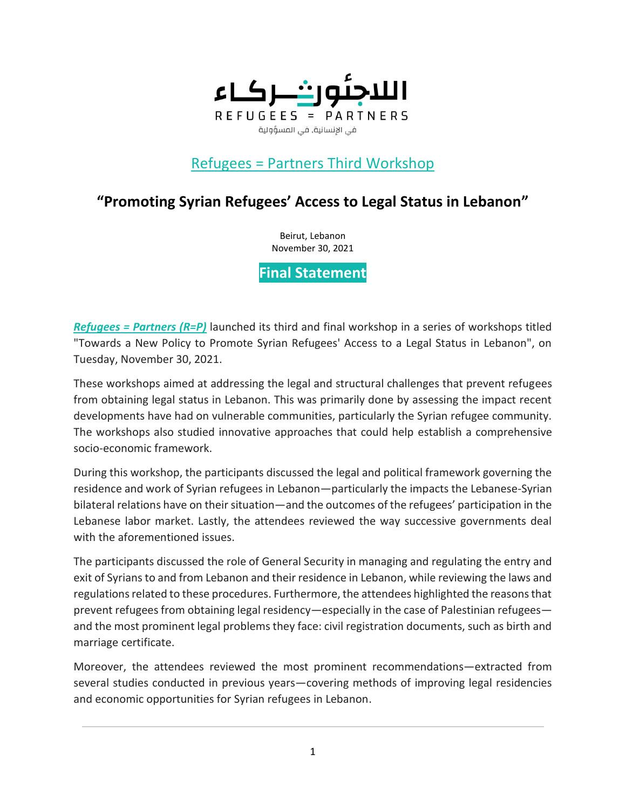

# Refugees = Partners Third Workshop

# **"Promoting Syrian Refugees' Access to Legal Status in Lebanon"**

Beirut, Lebanon November 30, 2021

**Final Statement**

*[Refugees = Partners \(R=P\)](https://refugees-partners.org/)* launched its third and final workshop in a series of workshops titled "Towards a New Policy to Promote Syrian Refugees' Access to a Legal Status in Lebanon", on Tuesday, November 30, 2021.

These workshops aimed at addressing the legal and structural challenges that prevent refugees from obtaining legal status in Lebanon. This was primarily done by assessing the impact recent developments have had on vulnerable communities, particularly the Syrian refugee community. The workshops also studied innovative approaches that could help establish a comprehensive socio-economic framework.

During this workshop, the participants discussed the legal and political framework governing the residence and work of Syrian refugees in Lebanon—particularly the impacts the Lebanese-Syrian bilateral relations have on their situation—and the outcomes of the refugees' participation in the Lebanese labor market. Lastly, the attendees reviewed the way successive governments deal with the aforementioned issues.

The participants discussed the role of General Security in managing and regulating the entry and exit of Syrians to and from Lebanon and their residence in Lebanon, while reviewing the laws and regulations related to these procedures. Furthermore, the attendees highlighted the reasons that prevent refugees from obtaining legal residency—especially in the case of Palestinian refugees and the most prominent legal problems they face: civil registration documents, such as birth and marriage certificate.

Moreover, the attendees reviewed the most prominent recommendations—extracted from several studies conducted in previous years—covering methods of improving legal residencies and economic opportunities for Syrian refugees in Lebanon.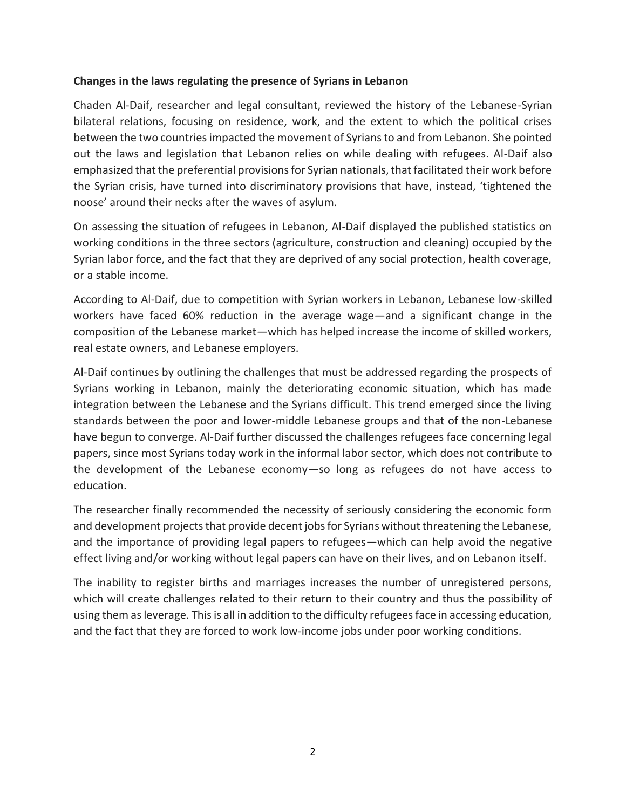### **Changes in the laws regulating the presence of Syrians in Lebanon**

Chaden Al-Daif, researcher and legal consultant, reviewed the history of the Lebanese-Syrian bilateral relations, focusing on residence, work, and the extent to which the political crises between the two countries impacted the movement of Syrians to and from Lebanon. She pointed out the laws and legislation that Lebanon relies on while dealing with refugees. Al-Daif also emphasized that the preferential provisions for Syrian nationals, that facilitated their work before the Syrian crisis, have turned into discriminatory provisions that have, instead, 'tightened the noose' around their necks after the waves of asylum.

On assessing the situation of refugees in Lebanon, Al-Daif displayed the published statistics on working conditions in the three sectors (agriculture, construction and cleaning) occupied by the Syrian labor force, and the fact that they are deprived of any social protection, health coverage, or a stable income.

According to Al-Daif, due to competition with Syrian workers in Lebanon, Lebanese low-skilled workers have faced 60% reduction in the average wage—and a significant change in the composition of the Lebanese market—which has helped increase the income of skilled workers, real estate owners, and Lebanese employers.

Al-Daif continues by outlining the challenges that must be addressed regarding the prospects of Syrians working in Lebanon, mainly the deteriorating economic situation, which has made integration between the Lebanese and the Syrians difficult. This trend emerged since the living standards between the poor and lower-middle Lebanese groups and that of the non-Lebanese have begun to converge. Al-Daif further discussed the challenges refugees face concerning legal papers, since most Syrians today work in the informal labor sector, which does not contribute to the development of the Lebanese economy—so long as refugees do not have access to education.

The researcher finally recommended the necessity of seriously considering the economic form and development projects that provide decent jobs for Syrians without threatening the Lebanese, and the importance of providing legal papers to refugees—which can help avoid the negative effect living and/or working without legal papers can have on their lives, and on Lebanon itself.

The inability to register births and marriages increases the number of unregistered persons, which will create challenges related to their return to their country and thus the possibility of using them as leverage. This is all in addition to the difficulty refugees face in accessing education, and the fact that they are forced to work low-income jobs under poor working conditions.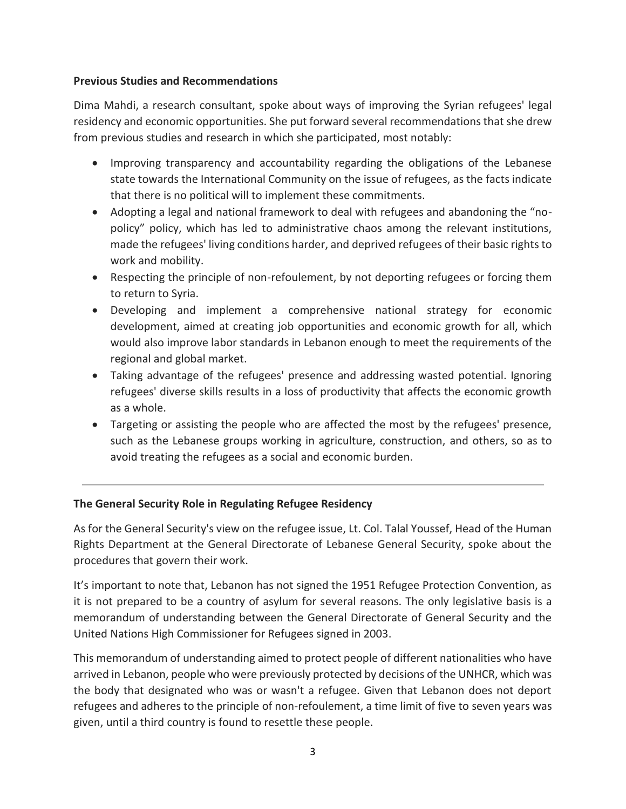### **Previous Studies and Recommendations**

Dima Mahdi, a research consultant, spoke about ways of improving the Syrian refugees' legal residency and economic opportunities. She put forward several recommendations that she drew from previous studies and research in which she participated, most notably:

- Improving transparency and accountability regarding the obligations of the Lebanese state towards the International Community on the issue of refugees, as the facts indicate that there is no political will to implement these commitments.
- Adopting a legal and national framework to deal with refugees and abandoning the "nopolicy" policy, which has led to administrative chaos among the relevant institutions, made the refugees' living conditions harder, and deprived refugees of their basic rights to work and mobility.
- Respecting the principle of non-refoulement, by not deporting refugees or forcing them to return to Syria.
- Developing and implement a comprehensive national strategy for economic development, aimed at creating job opportunities and economic growth for all, which would also improve labor standards in Lebanon enough to meet the requirements of the regional and global market.
- Taking advantage of the refugees' presence and addressing wasted potential. Ignoring refugees' diverse skills results in a loss of productivity that affects the economic growth as a whole.
- Targeting or assisting the people who are affected the most by the refugees' presence, such as the Lebanese groups working in agriculture, construction, and others, so as to avoid treating the refugees as a social and economic burden.

## **The General Security Role in Regulating Refugee Residency**

As for the General Security's view on the refugee issue, Lt. Col. Talal Youssef, Head of the Human Rights Department at the General Directorate of Lebanese General Security, spoke about the procedures that govern their work.

It's important to note that, Lebanon has not signed the 1951 Refugee Protection Convention, as it is not prepared to be a country of asylum for several reasons. The only legislative basis is a memorandum of understanding between the General Directorate of General Security and the United Nations High Commissioner for Refugees signed in 2003.

This memorandum of understanding aimed to protect people of different nationalities who have arrived in Lebanon, people who were previously protected by decisions of the UNHCR, which was the body that designated who was or wasn't a refugee. Given that Lebanon does not deport refugees and adheres to the principle of non-refoulement, a time limit of five to seven years was given, until a third country is found to resettle these people.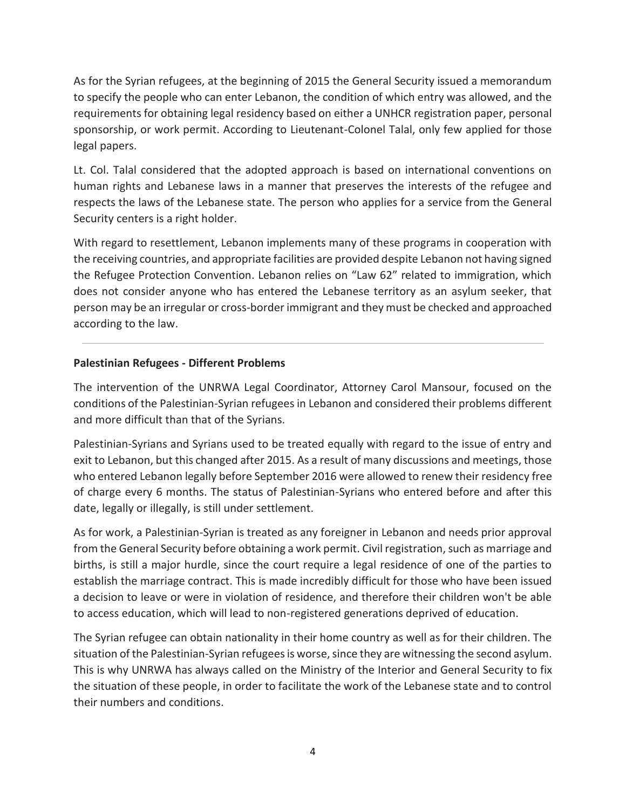As for the Syrian refugees, at the beginning of 2015 the General Security issued a memorandum to specify the people who can enter Lebanon, the condition of which entry was allowed, and the requirements for obtaining legal residency based on either a UNHCR registration paper, personal sponsorship, or work permit. According to Lieutenant-Colonel Talal, only few applied for those legal papers.

Lt. Col. Talal considered that the adopted approach is based on international conventions on human rights and Lebanese laws in a manner that preserves the interests of the refugee and respects the laws of the Lebanese state. The person who applies for a service from the General Security centers is a right holder.

With regard to resettlement, Lebanon implements many of these programs in cooperation with the receiving countries, and appropriate facilities are provided despite Lebanon not having signed the Refugee Protection Convention. Lebanon relies on "Law 62" related to immigration, which does not consider anyone who has entered the Lebanese territory as an asylum seeker, that person may be an irregular or cross-border immigrant and they must be checked and approached according to the law.

## **Palestinian Refugees - Different Problems**

The intervention of the UNRWA Legal Coordinator, Attorney Carol Mansour, focused on the conditions of the Palestinian-Syrian refugees in Lebanon and considered their problems different and more difficult than that of the Syrians.

Palestinian-Syrians and Syrians used to be treated equally with regard to the issue of entry and exit to Lebanon, but this changed after 2015. As a result of many discussions and meetings, those who entered Lebanon legally before September 2016 were allowed to renew their residency free of charge every 6 months. The status of Palestinian-Syrians who entered before and after this date, legally or illegally, is still under settlement.

As for work, a Palestinian-Syrian is treated as any foreigner in Lebanon and needs prior approval from the General Security before obtaining a work permit. Civil registration, such as marriage and births, is still a major hurdle, since the court require a legal residence of one of the parties to establish the marriage contract. This is made incredibly difficult for those who have been issued a decision to leave or were in violation of residence, and therefore their children won't be able to access education, which will lead to non-registered generations deprived of education.

The Syrian refugee can obtain nationality in their home country as well as for their children. The situation of the Palestinian-Syrian refugees is worse, since they are witnessing the second asylum. This is why UNRWA has always called on the Ministry of the Interior and General Security to fix the situation of these people, in order to facilitate the work of the Lebanese state and to control their numbers and conditions.